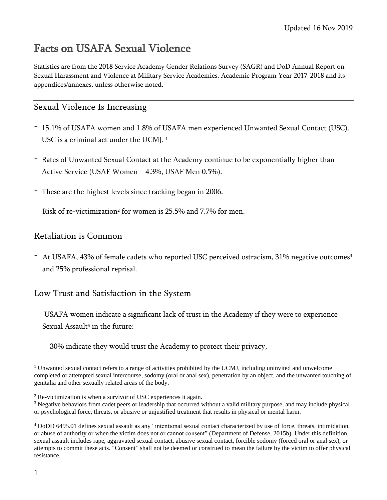# Facts on USAFA Sexual Violence

Statistics are from the 2018 Service Academy Gender Relations Survey (SAGR) and DoD Annual Report on Sexual Harassment and Violence at Military Service Academies, Academic Program Year 2017-2018 and its appendices/annexes, unless otherwise noted.

## Sexual Violence Is Increasing

- 15.1% of USAFA women and 1.8% of USAFA men experienced Unwanted Sexual Contact (USC). USC is a criminal act under the UCMJ. 1
- Rates of Unwanted Sexual Contact at the Academy continue to be exponentially higher than Active Service (USAF Women – 4.3%, USAF Men 0.5%).
- These are the highest levels since tracking began in 2006.
- Risk of re-victimization<sup>2</sup> for women is 25.5% and 7.7% for men.

#### Retaliation is Common

- At USAFA, 43% of female cadets who reported USC perceived ostracism, 31% negative outcomes<sup>3</sup> and 25% professional reprisal.

## Low Trust and Satisfaction in the System

- USAFA women indicate a significant lack of trust in the Academy if they were to experience Sexual Assault<sup>4</sup> in the future:
	- 30% indicate they would trust the Academy to protect their privacy,

<sup>&</sup>lt;sup>1</sup> Unwanted sexual contact refers to a range of activities prohibited by the UCMJ, including uninvited and unwelcome completed or attempted sexual intercourse, sodomy (oral or anal sex), penetration by an object, and the unwanted touching of genitalia and other sexually related areas of the body.

<sup>2</sup> Re-victimization is when a survivor of USC experiences it again.

<sup>&</sup>lt;sup>3</sup> Negative behaviors from cadet peers or leadership that occurred without a valid military purpose, and may include physical or psychological force, threats, or abusive or unjustified treatment that results in physical or mental harm.

<sup>4</sup> DoDD 6495.01 defines sexual assault as any "intentional sexual contact characterized by use of force, threats, intimidation, or abuse of authority or when the victim does not or cannot consent" (Department of Defense, 2015b). Under this definition, sexual assault includes rape, aggravated sexual contact, abusive sexual contact, forcible sodomy (forced oral or anal sex), or attempts to commit these acts. "Consent" shall not be deemed or construed to mean the failure by the victim to offer physical resistance.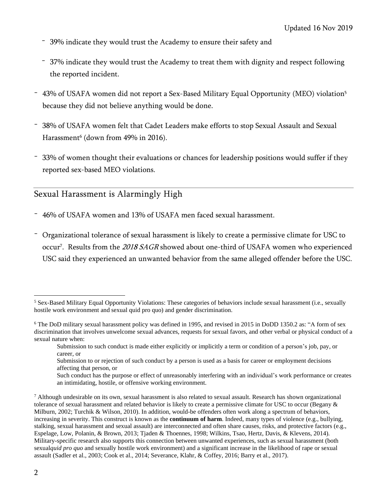- 39% indicate they would trust the Academy to ensure their safety and
- 37% indicate they would trust the Academy to treat them with dignity and respect following the reported incident.
- 43% of USAFA women did not report a Sex-Based Military Equal Opportunity (MEO) violation<sup>5</sup> because they did not believe anything would be done.
- 38% of USAFA women felt that Cadet Leaders make efforts to stop Sexual Assault and Sexual Harassment<sup>6</sup> (down from 49% in 2016).
- 33% of women thought their evaluations or chances for leadership positions would suffer if they reported sex-based MEO violations.

## Sexual Harassment is Alarmingly High

- 46% of USAFA women and 13% of USAFA men faced sexual harassment.
- Organizational tolerance of sexual harassment is likely to create a permissive climate for USC to occur<sup>7</sup>. Results from the *2018 SAGR* showed about one-third of USAFA women who experienced USC said they experienced an unwanted behavior from the same alleged offender before the USC.

<sup>5</sup> Sex-Based Military Equal Opportunity Violations: These categories of behaviors include sexual harassment (i.e., sexually hostile work environment and sexual quid pro quo) and gender discrimination.

<sup>6</sup> The DoD military sexual harassment policy was defined in 1995, and revised in 2015 in DoDD 1350.2 as: "A form of sex discrimination that involves unwelcome sexual advances, requests for sexual favors, and other verbal or physical conduct of a sexual nature when:

Submission to such conduct is made either explicitly or implicitly a term or condition of a person's job, pay, or career, or

Submission to or rejection of such conduct by a person is used as a basis for career or employment decisions affecting that person, or

Such conduct has the purpose or effect of unreasonably interfering with an individual's work performance or creates an intimidating, hostile, or offensive working environment.

 $^7$  Although undesirable on its own, sexual harassment is also related to sexual assault. Research has shown organizational tolerance of sexual harassment and related behavior is likely to create a permissive climate for USC to occur (Begany & Milburn, 2002; Turchik & Wilson, 2010). In addition, would-be offenders often work along a spectrum of behaviors, increasing in severity. This construct is known as the **continuum of harm**. Indeed, many types of violence (e.g., bullying, stalking, sexual harassment and sexual assault) are interconnected and often share causes, risks, and protective factors (e.g., Espelage, Low, Polanin, & Brown, 2013; Tjaden & Thoennes, 1998; Wilkins, Tsao, Hertz, Davis, & Klevens, 2014). Military-specific research also supports this connection between unwanted experiences, such as sexual harassment (both sexual*quid pro quo* and sexually hostile work environment) and a significant increase in the likelihood of rape or sexual assault (Sadler et al., 2003; Cook et al., 2014; Severance, Klahr, & Coffey, 2016; Barry et al., 2017).